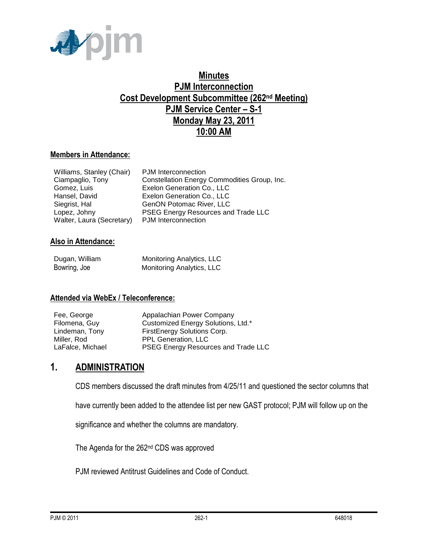

## **Minutes PJM Interconnection Cost Development Subcommittee (262nd Meeting) PJM Service Center – S-1 Monday May 23, 2011 10:00 AM**

#### **Members in Attendance:**

| <b>PJM</b> Interconnection                   |
|----------------------------------------------|
| Constellation Energy Commodities Group, Inc. |
| Exelon Generation Co., LLC                   |
| Exelon Generation Co., LLC                   |
| GenON Potomac River, LLC                     |
| PSEG Energy Resources and Trade LLC          |
| PJM Interconnection                          |
|                                              |

#### **Also in Attendance:**

| Dugan, William | Monitoring Analytics, LLC |
|----------------|---------------------------|
| Bowring, Joe   | Monitoring Analytics, LLC |

#### **Attended via WebEx / Teleconference:**

| Fee, George      | Appalachian Power Company           |
|------------------|-------------------------------------|
| Filomena, Guy    | Customized Energy Solutions, Ltd.*  |
| Lindeman, Tony   | FirstEnergy Solutions Corp.         |
| Miller, Rod      | <b>PPL Generation, LLC</b>          |
| LaFalce, Michael | PSEG Energy Resources and Trade LLC |

### **1. ADMINISTRATION**

CDS members discussed the draft minutes from 4/25/11 and questioned the sector columns that

have currently been added to the attendee list per new GAST protocol; PJM will follow up on the

significance and whether the columns are mandatory.

The Agenda for the 262nd CDS was approved

PJM reviewed Antitrust Guidelines and Code of Conduct.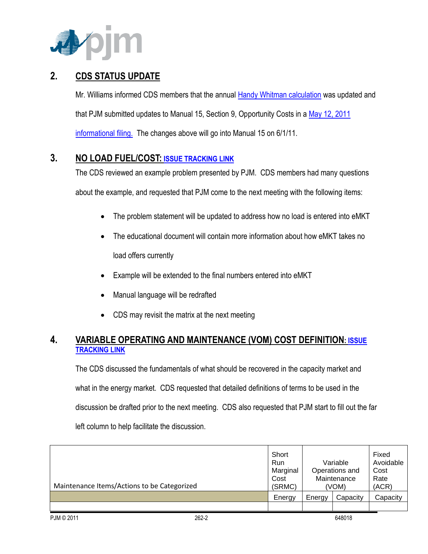

## **2. CDS STATUS UPDATE**

Mr. Williams informed CDS members that the annual [Handy Whitman calculation](http://www.pjm.com/committees-and-groups/subcommittees/~/media/committees-groups/subcommittees/cds/20100514/20100514-item-03a-handy-whitman-index.ashx) was updated and that PJM submitted updates to Manual 15, Section 9, Opportunity Costs in [a May 12, 2011](http://elibrary.ferc.gov/idmws/file_list.asp?accession_num=20110512-5080)  [informational filing.](http://elibrary.ferc.gov/idmws/file_list.asp?accession_num=20110512-5080) The changes above will go into Manual 15 on 6/1/11.

### **3. NO LOAD FUEL/COST: [ISSUE TRACKING LINK](http://www.pjm.com/committees-and-groups/issue-tracking/issue-tracking-details.aspx?Issue=%7bB4390F49-FB83-4790-B1E7-89EF1844E073%7d)**

The CDS reviewed an example problem presented by PJM. CDS members had many questions about the example, and requested that PJM come to the next meeting with the following items:

- The problem statement will be updated to address how no load is entered into eMKT
- The educational document will contain more information about how eMKT takes no load offers currently
- Example will be extended to the final numbers entered into eMKT
- Manual language will be redrafted
- CDS may revisit the matrix at the next meeting

### **4. VARIABLE OPERATING AND MAINTENANCE (VOM) COST DEFINITION: [ISSUE](http://www.pjm.com/committees-and-groups/issue-tracking/issue-tracking-details.aspx?Issue=%7b189C7210-9A23-4782-A5B5-634A6887CFE1%7d)  [TRACKING LINK](http://www.pjm.com/committees-and-groups/issue-tracking/issue-tracking-details.aspx?Issue=%7b189C7210-9A23-4782-A5B5-634A6887CFE1%7d)**

The CDS discussed the fundamentals of what should be recovered in the capacity market and what in the energy market. CDS requested that detailed definitions of terms to be used in the discussion be drafted prior to the next meeting. CDS also requested that PJM start to fill out the far left column to help facilitate the discussion.

| Maintenance Items/Actions to be Categorized | Short<br><b>Run</b><br>Marginal<br>Cost<br>(SRMC) | Variable<br>Operations and<br>Maintenance<br>(VOM) |          | Fixed<br>Avoidable<br>Cost<br>Rate<br>(ACR) |
|---------------------------------------------|---------------------------------------------------|----------------------------------------------------|----------|---------------------------------------------|
|                                             | Energy                                            | Energy                                             | Capacity | Capacity                                    |
|                                             |                                                   |                                                    |          |                                             |